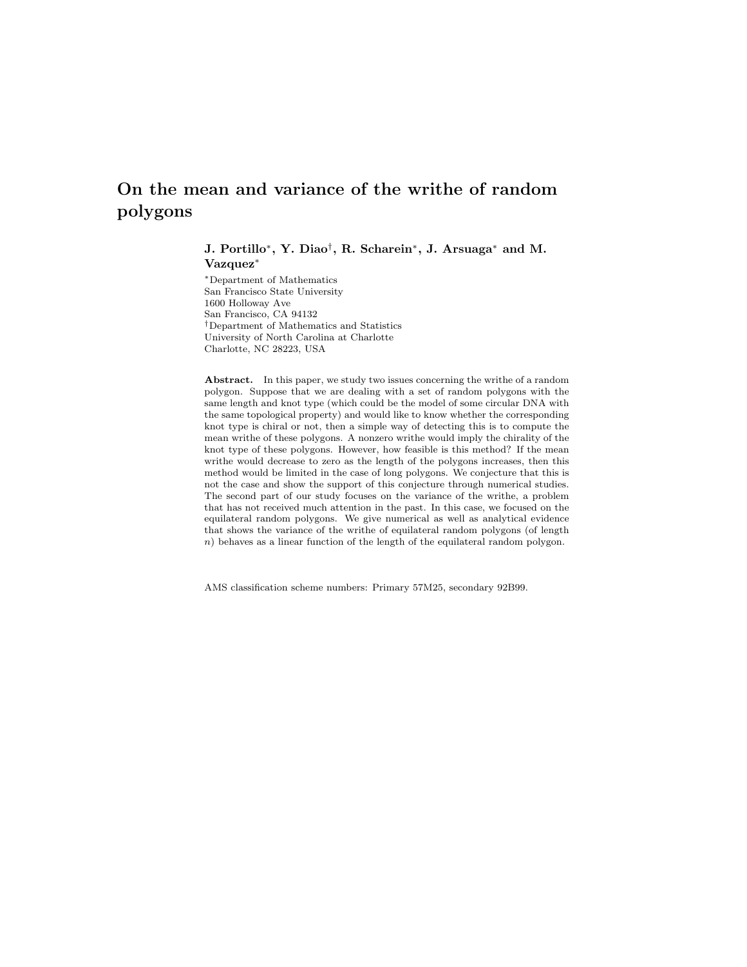# On the mean and variance of the writhe of random polygons

J. Portillo<sup>∗</sup> , Y. Diao† , R. Scharein<sup>∗</sup> , J. Arsuaga<sup>∗</sup> and M. Vazquez<sup>∗</sup>

<sup>∗</sup>Department of Mathematics San Francisco State University 1600 Holloway Ave San Francisco, CA 94132 †Department of Mathematics and Statistics University of North Carolina at Charlotte Charlotte, NC 28223, USA

Abstract. In this paper, we study two issues concerning the writhe of a random polygon. Suppose that we are dealing with a set of random polygons with the same length and knot type (which could be the model of some circular DNA with the same topological property) and would like to know whether the corresponding knot type is chiral or not, then a simple way of detecting this is to compute the mean writhe of these polygons. A nonzero writhe would imply the chirality of the knot type of these polygons. However, how feasible is this method? If the mean writhe would decrease to zero as the length of the polygons increases, then this method would be limited in the case of long polygons. We conjecture that this is not the case and show the support of this conjecture through numerical studies. The second part of our study focuses on the variance of the writhe, a problem that has not received much attention in the past. In this case, we focused on the equilateral random polygons. We give numerical as well as analytical evidence that shows the variance of the writhe of equilateral random polygons (of length n) behaves as a linear function of the length of the equilateral random polygon.

AMS classification scheme numbers: Primary 57M25, secondary 92B99.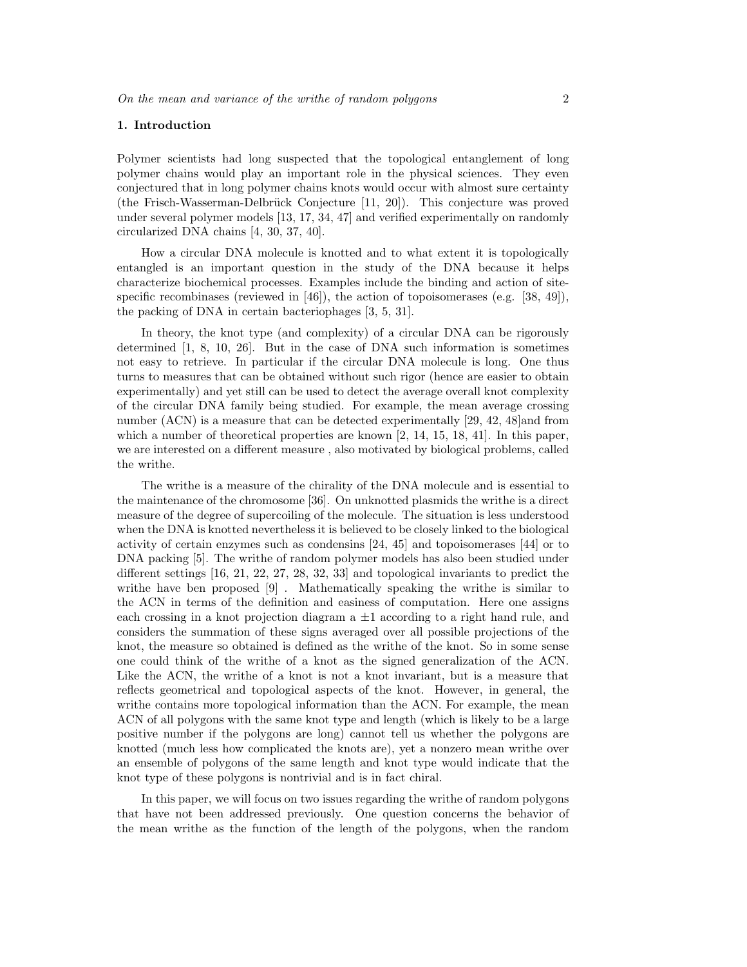#### 1. Introduction

Polymer scientists had long suspected that the topological entanglement of long polymer chains would play an important role in the physical sciences. They even conjectured that in long polymer chains knots would occur with almost sure certainty (the Frisch-Wasserman-Delbrück Conjecture  $[11, 20]$ ). This conjecture was proved under several polymer models [13, 17, 34, 47] and verified experimentally on randomly circularized DNA chains [4, 30, 37, 40].

How a circular DNA molecule is knotted and to what extent it is topologically entangled is an important question in the study of the DNA because it helps characterize biochemical processes. Examples include the binding and action of sitespecific recombinases (reviewed in [46]), the action of topoisomerases (e.g. [38, 49]), the packing of DNA in certain bacteriophages [3, 5, 31].

In theory, the knot type (and complexity) of a circular DNA can be rigorously determined [1, 8, 10, 26]. But in the case of DNA such information is sometimes not easy to retrieve. In particular if the circular DNA molecule is long. One thus turns to measures that can be obtained without such rigor (hence are easier to obtain experimentally) and yet still can be used to detect the average overall knot complexity of the circular DNA family being studied. For example, the mean average crossing number (ACN) is a measure that can be detected experimentally [29, 42, 48] and from which a number of theoretical properties are known [2, 14, 15, 18, 41]. In this paper, we are interested on a different measure , also motivated by biological problems, called the writhe.

The writhe is a measure of the chirality of the DNA molecule and is essential to the maintenance of the chromosome [36]. On unknotted plasmids the writhe is a direct measure of the degree of supercoiling of the molecule. The situation is less understood when the DNA is knotted nevertheless it is believed to be closely linked to the biological activity of certain enzymes such as condensins [24, 45] and topoisomerases [44] or to DNA packing [5]. The writhe of random polymer models has also been studied under different settings [16, 21, 22, 27, 28, 32, 33] and topological invariants to predict the writhe have ben proposed [9] . Mathematically speaking the writhe is similar to the ACN in terms of the definition and easiness of computation. Here one assigns each crossing in a knot projection diagram a  $\pm 1$  according to a right hand rule, and considers the summation of these signs averaged over all possible projections of the knot, the measure so obtained is defined as the writhe of the knot. So in some sense one could think of the writhe of a knot as the signed generalization of the ACN. Like the ACN, the writhe of a knot is not a knot invariant, but is a measure that reflects geometrical and topological aspects of the knot. However, in general, the writhe contains more topological information than the ACN. For example, the mean ACN of all polygons with the same knot type and length (which is likely to be a large positive number if the polygons are long) cannot tell us whether the polygons are knotted (much less how complicated the knots are), yet a nonzero mean writhe over an ensemble of polygons of the same length and knot type would indicate that the knot type of these polygons is nontrivial and is in fact chiral.

In this paper, we will focus on two issues regarding the writhe of random polygons that have not been addressed previously. One question concerns the behavior of the mean writhe as the function of the length of the polygons, when the random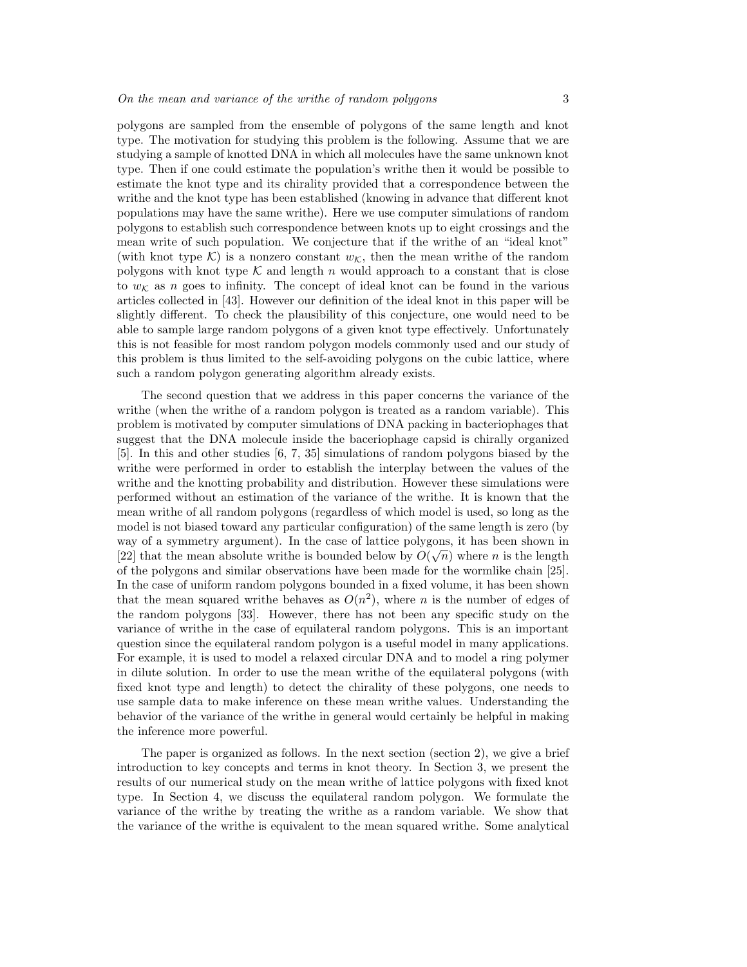polygons are sampled from the ensemble of polygons of the same length and knot type. The motivation for studying this problem is the following. Assume that we are studying a sample of knotted DNA in which all molecules have the same unknown knot type. Then if one could estimate the population's writhe then it would be possible to estimate the knot type and its chirality provided that a correspondence between the writhe and the knot type has been established (knowing in advance that different knot populations may have the same writhe). Here we use computer simulations of random polygons to establish such correspondence between knots up to eight crossings and the mean write of such population. We conjecture that if the writhe of an "ideal knot" (with knot type K) is a nonzero constant  $w_K$ , then the mean writhe of the random polygons with knot type  $K$  and length n would approach to a constant that is close to  $w_K$  as n goes to infinity. The concept of ideal knot can be found in the various articles collected in [43]. However our definition of the ideal knot in this paper will be slightly different. To check the plausibility of this conjecture, one would need to be able to sample large random polygons of a given knot type effectively. Unfortunately this is not feasible for most random polygon models commonly used and our study of this problem is thus limited to the self-avoiding polygons on the cubic lattice, where such a random polygon generating algorithm already exists.

The second question that we address in this paper concerns the variance of the writhe (when the writhe of a random polygon is treated as a random variable). This problem is motivated by computer simulations of DNA packing in bacteriophages that suggest that the DNA molecule inside the baceriophage capsid is chirally organized [5]. In this and other studies [6, 7, 35] simulations of random polygons biased by the writhe were performed in order to establish the interplay between the values of the writhe and the knotting probability and distribution. However these simulations were performed without an estimation of the variance of the writhe. It is known that the mean writhe of all random polygons (regardless of which model is used, so long as the model is not biased toward any particular configuration) of the same length is zero (by way of a symmetry argument). In the case of lattice polygons, it has been shown in [22] that the mean absolute writhe is bounded below by  $O(\sqrt{n})$  where n is the length of the polygons and similar observations have been made for the wormlike chain [25]. In the case of uniform random polygons bounded in a fixed volume, it has been shown that the mean squared writhe behaves as  $O(n^2)$ , where n is the number of edges of the random polygons [33]. However, there has not been any specific study on the variance of writhe in the case of equilateral random polygons. This is an important question since the equilateral random polygon is a useful model in many applications. For example, it is used to model a relaxed circular DNA and to model a ring polymer in dilute solution. In order to use the mean writhe of the equilateral polygons (with fixed knot type and length) to detect the chirality of these polygons, one needs to use sample data to make inference on these mean writhe values. Understanding the behavior of the variance of the writhe in general would certainly be helpful in making the inference more powerful.

The paper is organized as follows. In the next section (section 2), we give a brief introduction to key concepts and terms in knot theory. In Section 3, we present the results of our numerical study on the mean writhe of lattice polygons with fixed knot type. In Section 4, we discuss the equilateral random polygon. We formulate the variance of the writhe by treating the writhe as a random variable. We show that the variance of the writhe is equivalent to the mean squared writhe. Some analytical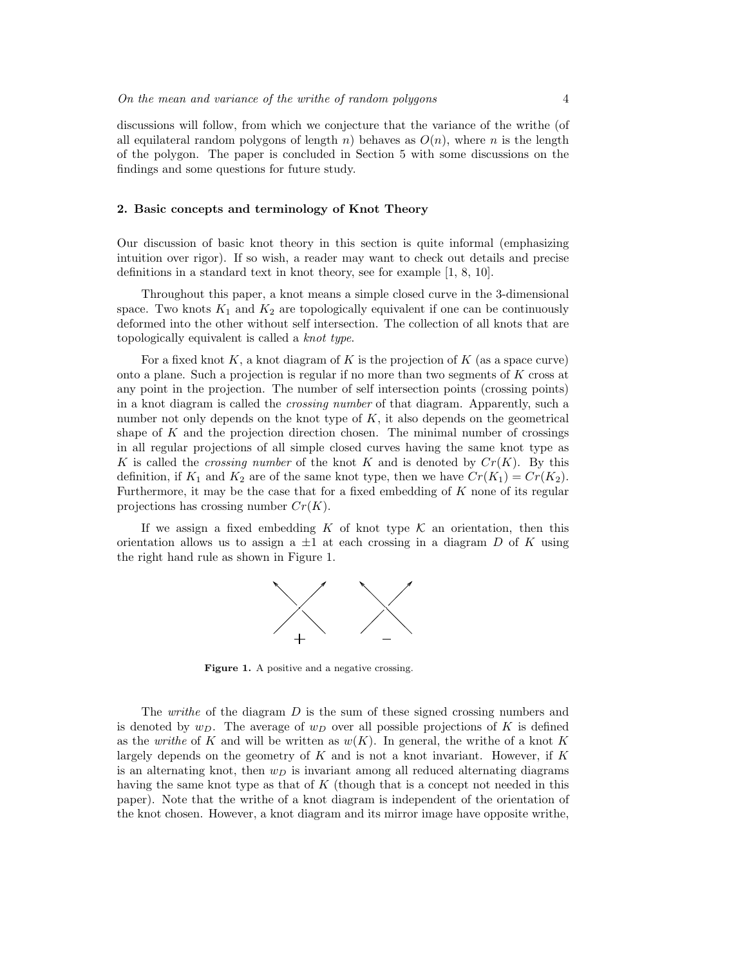discussions will follow, from which we conjecture that the variance of the writhe (of all equilateral random polygons of length n) behaves as  $O(n)$ , where n is the length of the polygon. The paper is concluded in Section 5 with some discussions on the findings and some questions for future study.

## 2. Basic concepts and terminology of Knot Theory

Our discussion of basic knot theory in this section is quite informal (emphasizing intuition over rigor). If so wish, a reader may want to check out details and precise definitions in a standard text in knot theory, see for example [1, 8, 10].

Throughout this paper, a knot means a simple closed curve in the 3-dimensional space. Two knots  $K_1$  and  $K_2$  are topologically equivalent if one can be continuously deformed into the other without self intersection. The collection of all knots that are topologically equivalent is called a knot type.

For a fixed knot  $K$ , a knot diagram of K is the projection of K (as a space curve) onto a plane. Such a projection is regular if no more than two segments of K cross at any point in the projection. The number of self intersection points (crossing points) in a knot diagram is called the crossing number of that diagram. Apparently, such a number not only depends on the knot type of  $K$ , it also depends on the geometrical shape of  $K$  and the projection direction chosen. The minimal number of crossings in all regular projections of all simple closed curves having the same knot type as K is called the *crossing number* of the knot K and is denoted by  $Cr(K)$ . By this definition, if  $K_1$  and  $K_2$  are of the same knot type, then we have  $Cr(K_1) = Cr(K_2)$ . Furthermore, it may be the case that for a fixed embedding of  $K$  none of its regular projections has crossing number  $Cr(K)$ .

If we assign a fixed embedding K of knot type  $\mathcal K$  an orientation, then this orientation allows us to assign a  $\pm 1$  at each crossing in a diagram D of K using the right hand rule as shown in Figure 1.



Figure 1. A positive and a negative crossing.

The *writhe* of the diagram D is the sum of these signed crossing numbers and is denoted by  $w_D$ . The average of  $w_D$  over all possible projections of K is defined as the written of K and will be written as  $w(K)$ . In general, the writhe of a knot K largely depends on the geometry of  $K$  and is not a knot invariant. However, if  $K$ is an alternating knot, then  $w_D$  is invariant among all reduced alternating diagrams having the same knot type as that of  $K$  (though that is a concept not needed in this paper). Note that the writhe of a knot diagram is independent of the orientation of the knot chosen. However, a knot diagram and its mirror image have opposite writhe,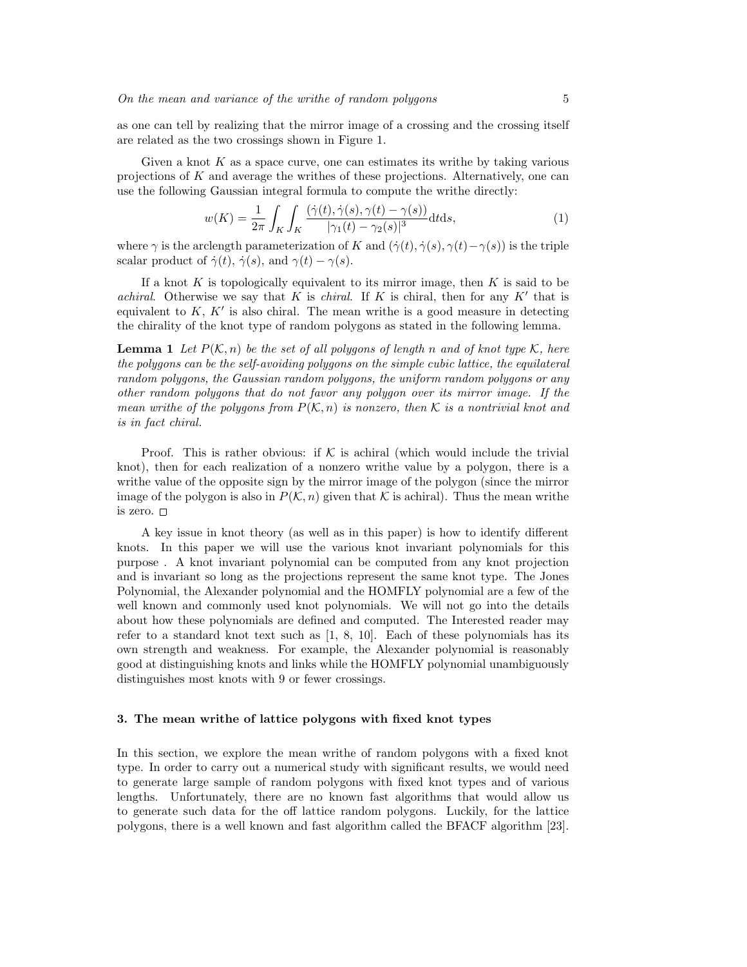as one can tell by realizing that the mirror image of a crossing and the crossing itself are related as the two crossings shown in Figure 1.

Given a knot  $K$  as a space curve, one can estimates its writhe by taking various projections of  $K$  and average the writhes of these projections. Alternatively, one can use the following Gaussian integral formula to compute the writhe directly:

$$
w(K) = \frac{1}{2\pi} \int_K \int_K \frac{(\dot{\gamma}(t), \dot{\gamma}(s), \gamma(t) - \gamma(s))}{|\gamma_1(t) - \gamma_2(s)|^3} dt ds,
$$
\n(1)

where  $\gamma$  is the arclength parameterization of K and  $(\dot{\gamma}(t), \dot{\gamma}(s), \gamma(t)-\gamma(s))$  is the triple scalar product of  $\dot{\gamma}(t)$ ,  $\dot{\gamma}(s)$ , and  $\gamma(t) - \gamma(s)$ .

If a knot  $K$  is topologically equivalent to its mirror image, then  $K$  is said to be achiral. Otherwise we say that K is chiral. If K is chiral, then for any  $K'$  that is equivalent to  $K, K'$  is also chiral. The mean writhe is a good measure in detecting the chirality of the knot type of random polygons as stated in the following lemma.

**Lemma 1** Let  $P(K, n)$  be the set of all polygons of length n and of knot type K, here the polygons can be the self-avoiding polygons on the simple cubic lattice, the equilateral random polygons, the Gaussian random polygons, the uniform random polygons or any other random polygons that do not favor any polygon over its mirror image. If the mean writhe of the polygons from  $P(K, n)$  is nonzero, then K is a nontrivial knot and is in fact chiral.

Proof. This is rather obvious: if  $K$  is achiral (which would include the trivial knot), then for each realization of a nonzero writhe value by a polygon, there is a writhe value of the opposite sign by the mirror image of the polygon (since the mirror image of the polygon is also in  $P(\mathcal{K}, n)$  given that K is achiral). Thus the mean writhe is zero.

A key issue in knot theory (as well as in this paper) is how to identify different knots. In this paper we will use the various knot invariant polynomials for this purpose . A knot invariant polynomial can be computed from any knot projection and is invariant so long as the projections represent the same knot type. The Jones Polynomial, the Alexander polynomial and the HOMFLY polynomial are a few of the well known and commonly used knot polynomials. We will not go into the details about how these polynomials are defined and computed. The Interested reader may refer to a standard knot text such as [1, 8, 10]. Each of these polynomials has its own strength and weakness. For example, the Alexander polynomial is reasonably good at distinguishing knots and links while the HOMFLY polynomial unambiguously distinguishes most knots with 9 or fewer crossings.

# 3. The mean writhe of lattice polygons with fixed knot types

In this section, we explore the mean writhe of random polygons with a fixed knot type. In order to carry out a numerical study with significant results, we would need to generate large sample of random polygons with fixed knot types and of various lengths. Unfortunately, there are no known fast algorithms that would allow us to generate such data for the off lattice random polygons. Luckily, for the lattice polygons, there is a well known and fast algorithm called the BFACF algorithm [23].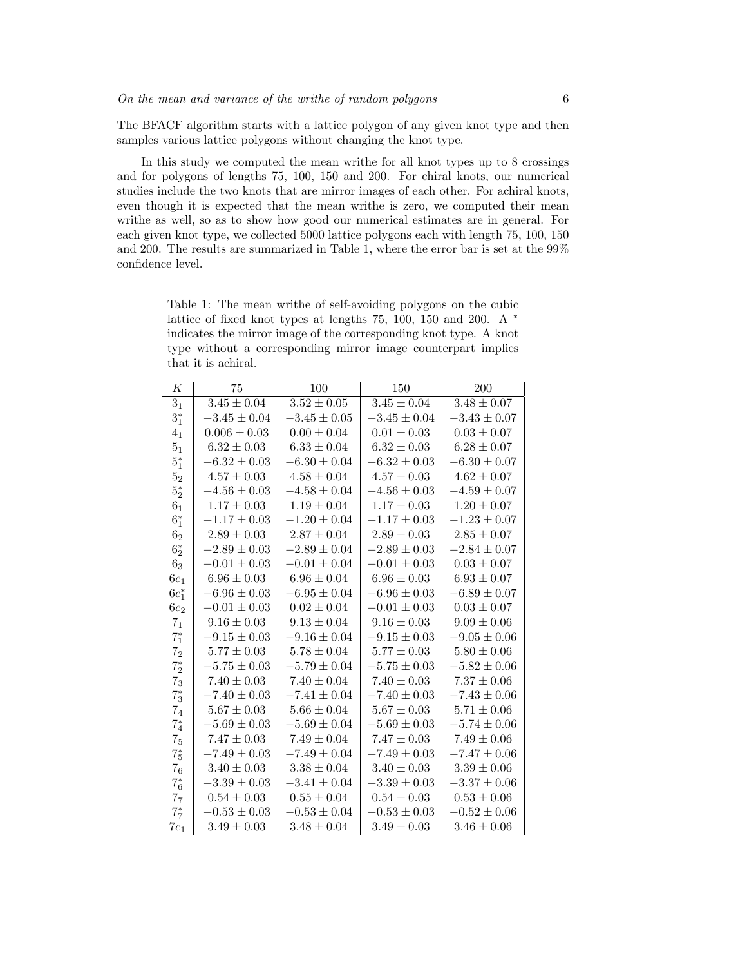The BFACF algorithm starts with a lattice polygon of any given knot type and then samples various lattice polygons without changing the knot type.

In this study we computed the mean writhe for all knot types up to 8 crossings and for polygons of lengths 75, 100, 150 and 200. For chiral knots, our numerical studies include the two knots that are mirror images of each other. For achiral knots, even though it is expected that the mean writhe is zero, we computed their mean writhe as well, so as to show how good our numerical estimates are in general. For each given knot type, we collected 5000 lattice polygons each with length 75, 100, 150 and 200. The results are summarized in Table 1, where the error bar is set at the 99% confidence level.

Table 1: The mean writhe of self-avoiding polygons on the cubic lattice of fixed knot types at lengths 75, 100, 150 and 200. A <sup>∗</sup> indicates the mirror image of the corresponding knot type. A knot type without a corresponding mirror image counterpart implies that it is achiral.

| К                | 75                         | 100              | 150              | 200              |
|------------------|----------------------------|------------------|------------------|------------------|
| $\overline{3_1}$ | $\overline{3.45 \pm 0.04}$ | $3.52 \pm 0.05$  | $3.45 \pm 0.04$  | $3.48 \pm 0.07$  |
| $3^*_1$          | $-3.45 \pm 0.04$           | $-3.45 \pm 0.05$ | $-3.45 \pm 0.04$ | $-3.43 \pm 0.07$ |
| 4 <sub>1</sub>   | $0.006 \pm 0.03$           | $0.00 \pm 0.04$  | $0.01 \pm 0.03$  | $0.03 \pm 0.07$  |
| 5 <sub>1</sub>   | $6.32 \pm 0.03$            | $6.33 \pm 0.04$  | $6.32 \pm 0.03$  | $6.28 \pm 0.07$  |
| $5^*_1$          | $-6.32 \pm 0.03$           | $-6.30 \pm 0.04$ | $-6.32 \pm 0.03$ | $-6.30 \pm 0.07$ |
| 5 <sub>2</sub>   | $4.57 \pm 0.03$            | $4.58 \pm 0.04$  | $4.57 \pm 0.03$  | $4.62 \pm 0.07$  |
| $5^\ast_2$       | $-4.56 \pm 0.03$           | $-4.58 \pm 0.04$ | $-4.56 \pm 0.03$ | $-4.59 \pm 0.07$ |
| 6 <sub>1</sub>   | $1.17 \pm 0.03$            | $1.19 \pm 0.04$  | $1.17 \pm 0.03$  | $1.20 \pm 0.07$  |
| $6_1^*$          | $-1.17 \pm 0.03$           | $-1.20\pm0.04$   | $-1.17 \pm 0.03$ | $-1.23\pm0.07$   |
| 6 <sub>2</sub>   | $2.89 \pm 0.03$            | $2.87 \pm 0.04$  | $2.89 \pm 0.03$  | $2.85 \pm 0.07$  |
| $6^*_2$          | $-2.89 \pm 0.03$           | $-2.89 \pm 0.04$ | $-2.89 \pm 0.03$ | $-2.84 \pm 0.07$ |
| 6 <sub>3</sub>   | $-0.01 \pm 0.03$           | $-0.01 \pm 0.04$ | $-0.01 \pm 0.03$ | $0.03 \pm 0.07$  |
| $6c_1$           | $6.96 \pm 0.03$            | $6.96 \pm 0.04$  | $6.96 \pm 0.03$  | $6.93 \pm 0.07$  |
| $6c_{1}^{*}$     | $-6.96 \pm 0.03$           | $-6.95 \pm 0.04$ | $-6.96 \pm 0.03$ | $-6.89 \pm 0.07$ |
| $6c_2$           | $-0.01 \pm 0.03$           | $0.02 \pm 0.04$  | $-0.01 \pm 0.03$ | $0.03 \pm 0.07$  |
| 7 <sub>1</sub>   | $9.16 \pm 0.03$            | $9.13 \pm 0.04$  | $9.16 \pm 0.03$  | $9.09 \pm 0.06$  |
| $7^\ast_1$       | $-9.15 \pm 0.03$           | $-9.16 \pm 0.04$ | $-9.15 \pm 0.03$ | $-9.05 \pm 0.06$ |
| $\mathbf{7}_2$   | $5.77 \pm 0.03$            | $5.78 \pm 0.04$  | $5.77 \pm 0.03$  | $5.80 \pm 0.06$  |
| $7^\ast_2$       | $-5.75 \pm 0.03$           | $-5.79 \pm 0.04$ | $-5.75 \pm 0.03$ | $-5.82 \pm 0.06$ |
| $\mathbf{7}_3$   | $7.40 \pm 0.03$            | $7.40 \pm 0.04$  | $7.40 \pm 0.03$  | $7.37 \pm 0.06$  |
| $7^\ast_3$       | $-7.40 \pm 0.03$           | $-7.41 \pm 0.04$ | $-7.40 \pm 0.03$ | $-7.43 \pm 0.06$ |
| 7 <sub>4</sub>   | $5.67 \pm 0.03$            | $5.66 \pm 0.04$  | $5.67 \pm 0.03$  | $5.71 \pm 0.06$  |
| $7^{*}_{4}$      | $-5.69 \pm 0.03$           | $-5.69 \pm 0.04$ | $-5.69 \pm 0.03$ | $-5.74 \pm 0.06$ |
| 7 <sub>5</sub>   | $7.47 \pm 0.03$            | $7.49 \pm 0.04$  | $7.47 \pm 0.03$  | $7.49 \pm 0.06$  |
| $7^\ast_5$       | $-7.49 \pm 0.03$           | $-7.49 \pm 0.04$ | $-7.49 \pm 0.03$ | $-7.47 \pm 0.06$ |
| 7 <sub>6</sub>   | $3.40 \pm 0.03$            | $3.38 \pm 0.04$  | $3.40 \pm 0.03$  | $3.39 \pm 0.06$  |
| $7^\ast_6$       | $-3.39 \pm 0.03$           | $-3.41 \pm 0.04$ | $-3.39 \pm 0.03$ | $-3.37 \pm 0.06$ |
| 7 <sub>7</sub>   | $0.54 \pm 0.03$            | $0.55 \pm 0.04$  | $0.54 \pm 0.03$  | $0.53 \pm 0.06$  |
| $7^*$            | $-0.53 \pm 0.03$           | $-0.53 \pm 0.04$ | $-0.53 \pm 0.03$ | $-0.52 \pm 0.06$ |
| $7c_1$           | $3.49 \pm 0.03$            | $3.48 \pm 0.04$  | $3.49 \pm 0.03$  | $3.46 \pm 0.06$  |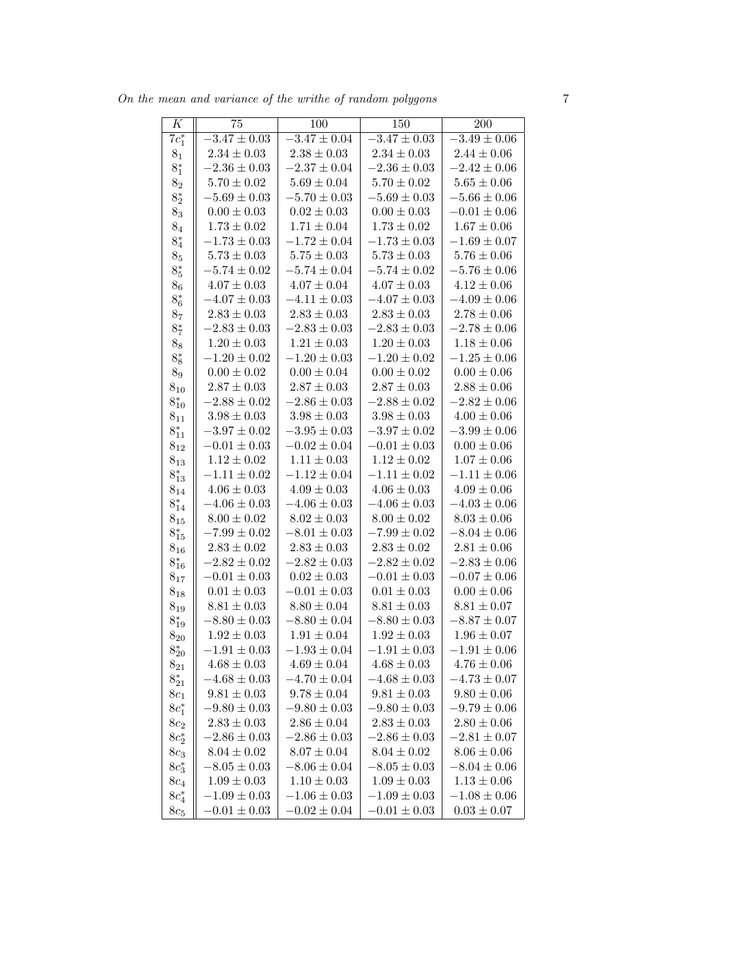On the mean and variance of the writhe of random polygons 7

| K                   | 75               | 100              | 150              | 200              |
|---------------------|------------------|------------------|------------------|------------------|
| $7c_1^*$            | $-3.47 \pm 0.03$ | $-3.47 \pm 0.04$ | $-3.47 \pm 0.03$ | $-3.49 \pm 0.06$ |
| 8 <sub>1</sub>      | $2.34\pm0.03$    | $2.38\pm0.03$    | $2.34 \pm 0.03$  | $2.44\pm0.06$    |
| $8^*_1$             | $-2.36 \pm 0.03$ | $-2.37\pm0.04$   | $-2.36\pm0.03$   | $-2.42 \pm 0.06$ |
| 8 <sub>2</sub>      | $5.70\pm0.02$    | $5.69\pm0.04$    | $5.70\pm0.02$    | $5.65\pm0.06$    |
| $8^\ast_2$          | $-5.69\pm0.03$   | $-5.70 \pm 0.03$ | $-5.69\pm0.03$   | $-5.66 \pm 0.06$ |
| $8_3$               | $0.00\pm0.03$    | $0.02 \pm 0.03$  | $0.00\pm0.03$    | $-0.01 \pm 0.06$ |
| 8 <sub>4</sub>      | $1.73\pm0.02$    | $1.71\pm0.04$    | $1.73\pm0.02$    | $1.67\pm0.06$    |
| $8^\ast_4$          | $-1.73\pm0.03$   | $-1.72 \pm 0.04$ | $-1.73\pm0.03$   | $-1.69 \pm 0.07$ |
| $8_5$               | $5.73\pm0.03$    | $5.75\pm0.03$    | $5.73\pm0.03$    | $5.76\pm0.06$    |
| $8^*_5$             | $-5.74\pm0.02$   | $-5.74\pm0.04$   | $-5.74\pm0.02$   | $-5.76 \pm 0.06$ |
| 8 <sub>6</sub>      | $4.07\pm0.03$    | $4.07\pm0.04$    | $4.07\pm0.03$    | $4.12\pm0.06$    |
| $8^*_6$             | $-4.07\pm0.03$   | $-4.11\pm0.03$   | $-4.07\pm0.03$   | $-4.09 \pm 0.06$ |
| 8 <sub>7</sub>      | $2.83\pm0.03$    | $2.83\pm0.03$    | $2.83\pm0.03$    | $2.78\pm0.06$    |
| $8^{\ast}_7$        | $-2.83 \pm 0.03$ | $-2.83\pm0.03$   | $-2.83\pm0.03$   | $-2.78 \pm 0.06$ |
| $8_8$               | $1.20\pm0.03$    | $1.21\pm0.03$    | $1.20\pm0.03$    | $1.18\pm0.06$    |
| $8^\ast_8$          | $-1.20\pm0.02$   | $-1.20\pm0.03$   | $-1.20\pm0.02$   | $-1.25\pm0.06$   |
| 8 <sub>9</sub>      | $0.00 \pm 0.02$  | $0.00\pm0.04$    | $0.00 \pm 0.02$  | $0.00\pm0.06$    |
| $8_{10}$            | $2.87\pm0.03$    | $2.87\pm0.03$    | $2.87\pm0.03$    | $2.88 \pm 0.06$  |
| $8^{*}_{10}$        | $-2.88 \pm 0.02$ | $-2.86\pm0.03$   | $-2.88 \pm 0.02$ | $-2.82 \pm 0.06$ |
| $8_{11}$            | $3.98\pm0.03$    | $3.98 \pm 0.03$  | $3.98\pm0.03$    | $4.00\pm0.06$    |
| $8^{*}_{11}$        | $-3.97\pm0.02$   | $-3.95\pm0.03$   | $-3.97\pm0.02$   | $-3.99 \pm 0.06$ |
| $\bf 8_{12}$        | $-0.01\pm0.03$   | $-0.02\pm0.04$   | $-0.01\pm0.03$   | $0.00 \pm 0.06$  |
| $8_{13}$            | $1.12\pm0.02$    | $1.11\pm0.03$    | $1.12 \pm 0.02$  | $1.07 \pm 0.06$  |
| $8^*_{13}$          | $-1.11\pm0.02$   | $-1.12\pm0.04$   | $-1.11\pm0.02$   | $-1.11 \pm 0.06$ |
| $8_{14}$            | $4.06\pm0.03$    | $4.09\pm0.03$    | $4.06 \pm 0.03$  | $4.09\pm0.06$    |
| $8^{*}_{14}$        | $-4.06\pm0.03$   | $-4.06\pm0.03$   | $-4.06\pm0.03$   | $-4.03 \pm 0.06$ |
| $8_{15}$            | $8.00\pm0.02$    | $8.02\pm0.03$    | $8.00\pm0.02$    | $8.03\pm0.06$    |
| $8^{*}_{15}$        | $-7.99\pm0.02$   | $-8.01 \pm 0.03$ | $-7.99\pm0.02$   | $-8.04 \pm 0.06$ |
| $\bf 8_{16}$        | $2.83\pm0.02$    | $2.83\pm0.03$    | $2.83\pm0.02$    | $2.81\pm0.06$    |
| $8^{*}_{16}$        | $-2.82 \pm 0.02$ | $-2.82 \pm 0.03$ | $-2.82 \pm 0.02$ | $-2.83 \pm 0.06$ |
| $8_{17}$            | $-0.01\pm0.03$   | $0.02\pm0.03$    | $-0.01\pm0.03$   | $-0.07 \pm 0.06$ |
| $8_{18}$            | $0.01\pm0.03$    | $-0.01\pm0.03$   | $0.01\pm0.03$    | $0.00\pm0.06$    |
| $8_{19}$            | $8.81 \pm 0.03$  | $8.80 \pm 0.04$  | $8.81\pm0.03$    | $8.81 \pm 0.07$  |
| $8^{*}_{19}$        | $-8.80 \pm 0.03$ | $-8.80 \pm 0.04$ | $-8.80 \pm 0.03$ | $-8.87 \pm 0.07$ |
| $8_{20}$            | $1.92 \pm 0.03$  | $1.91 \pm 0.04$  | $1.92 \pm 0.03$  | $1.96 \pm 0.07$  |
| $8^{*}_{20}$        | $-1.91 \pm 0.03$ | $-1.93\pm0.04$   | $-1.91\pm0.03$   | $-1.91\pm0.06$   |
| $8_{21}$            | $4.68 \pm 0.03$  | $4.69 \pm 0.04$  | $4.68 \pm 0.03$  | $4.76 \pm 0.06$  |
| $8^{*}_{21}$        | $-4.68 \pm 0.03$ | $-4.70 \pm 0.04$ | $-4.68 \pm 0.03$ | $-4.73 \pm 0.07$ |
| $8c_1$              | $9.81 \pm 0.03$  | $9.78 \pm 0.04$  | $9.81 \pm 0.03$  | $9.80 \pm 0.06$  |
| $8c_1^*$            | $-9.80 \pm 0.03$ | $-9.80 \pm 0.03$ | $-9.80 \pm 0.03$ | $-9.79 \pm 0.06$ |
| $8c_2$              | $2.83\pm0.03$    | $2.86 \pm 0.04$  | $2.83 \pm 0.03$  | $2.80 \pm 0.06$  |
| $8c_2^*$            | $-2.86 \pm 0.03$ | $-2.86 \pm 0.03$ | $-2.86 \pm 0.03$ | $-2.81 \pm 0.07$ |
| $8c_3$              | $8.04 \pm 0.02$  | $8.07 \pm 0.04$  | $8.04 \pm 0.02$  | $8.06 \pm 0.06$  |
| $8c_3$ <sup>*</sup> | $-8.05 \pm 0.03$ | $-8.06 \pm 0.04$ | $-8.05 \pm 0.03$ | $-8.04 \pm 0.06$ |
| $8c_4$              | $1.09 \pm 0.03$  | $1.10 \pm 0.03$  | $1.09 \pm 0.03$  | $1.13 \pm 0.06$  |
| $8c_{4}^{*}$        | $-1.09 \pm 0.03$ | $-1.06 \pm 0.03$ | $-1.09 \pm 0.03$ | $-1.08 \pm 0.06$ |
| $8c_5$              | $-0.01 \pm 0.03$ | $-0.02 \pm 0.04$ | $-0.01 \pm 0.03$ | $0.03 \pm 0.07$  |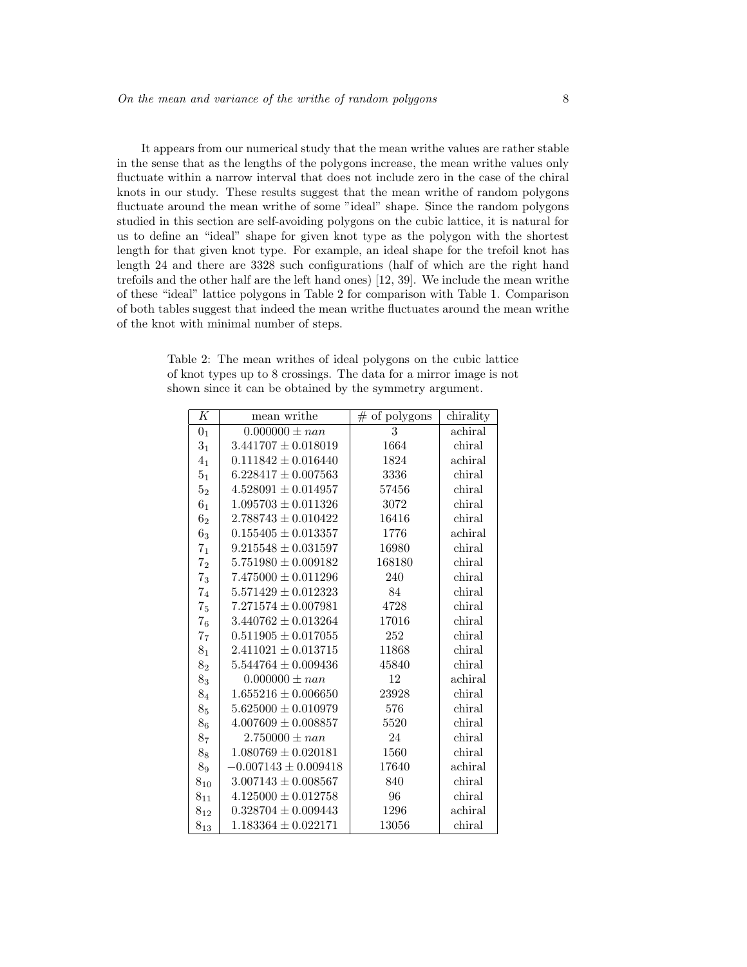It appears from our numerical study that the mean writhe values are rather stable in the sense that as the lengths of the polygons increase, the mean writhe values only fluctuate within a narrow interval that does not include zero in the case of the chiral knots in our study. These results suggest that the mean writhe of random polygons fluctuate around the mean writhe of some "ideal" shape. Since the random polygons studied in this section are self-avoiding polygons on the cubic lattice, it is natural for us to define an "ideal" shape for given knot type as the polygon with the shortest length for that given knot type. For example, an ideal shape for the trefoil knot has length 24 and there are 3328 such configurations (half of which are the right hand trefoils and the other half are the left hand ones) [12, 39]. We include the mean writhe of these "ideal" lattice polygons in Table 2 for comparison with Table 1. Comparison of both tables suggest that indeed the mean writhe fluctuates around the mean writhe of the knot with minimal number of steps.

Table 2: The mean writhes of ideal polygons on the cubic lattice of knot types up to 8 crossings. The data for a mirror image is not shown since it can be obtained by the symmetry argument.

| Κ              | mean writhe              | $#$ of polygons | chirality |
|----------------|--------------------------|-----------------|-----------|
| 0 <sub>1</sub> | $0.000000 \pm nan$       | 3               | achiral   |
| 3 <sub>1</sub> | $3.441707 \pm 0.018019$  | 1664            | chiral    |
| 4 <sub>1</sub> | $0.111842 \pm 0.016440$  | 1824            | achiral   |
| 5 <sub>1</sub> | $6.228417 \pm 0.007563$  | 3336            | chiral    |
| 5 <sub>2</sub> | $4.528091 \pm 0.014957$  | 57456           | chiral    |
| 6 <sub>1</sub> | $1.095703 \pm 0.011326$  | 3072            | chiral    |
| 6 <sub>2</sub> | $2.788743 \pm 0.010422$  | 16416           | chiral    |
| 6 <sub>3</sub> | $0.155405 \pm 0.013357$  | 1776            | achiral   |
| 7 <sub>1</sub> | $9.215548 \pm 0.031597$  | 16980           | chiral    |
| 7 <sub>2</sub> | $5.751980 \pm 0.009182$  | 168180          | chiral    |
| $7_3$          | $7.475000 \pm 0.011296$  | 240             | chiral    |
| 7 <sub>4</sub> | $5.571429 \pm 0.012323$  | 84              | chiral    |
| 7 <sub>5</sub> | $7.271574 \pm 0.007981$  | 4728            | chiral    |
| 7 <sub>6</sub> | $3.440762 \pm 0.013264$  | 17016           | chiral    |
| 7 <sub>7</sub> | $0.511905 \pm 0.017055$  | 252             | chiral    |
| $\bf 8_1$      | $2.411021 \pm 0.013715$  | 11868           | chiral    |
| $8_{2}$        | $5.544764 \pm 0.009436$  | 45840           | chiral    |
| $8_3$          | $0.000000 \pm n a n$     | 12              | achiral   |
| 8 <sub>4</sub> | $1.655216 \pm 0.006650$  | 23928           | chiral    |
| 8 <sub>5</sub> | $5.625000 \pm 0.010979$  | 576             | chiral    |
| 8 <sub>6</sub> | $4.007609 \pm 0.008857$  | 5520            | chiral    |
| 8 <sub>7</sub> | $2.750000 \pm nan$       | 24              | chiral    |
| $8_8$          | $1.080769 \pm 0.020181$  | 1560            | chiral    |
| 89             | $-0.007143 \pm 0.009418$ | 17640           | achiral   |
| $8_{10}$       | $3.007143 \pm 0.008567$  | 840             | chiral    |
| $8_{11}$       | $4.125000 \pm 0.012758$  | 96              | chiral    |
| $8_{12}$       | $0.328704 \pm 0.009443$  | 1296            | achiral   |
| $8_{13}$       | $1.183364 \pm 0.022171$  | 13056           | chiral    |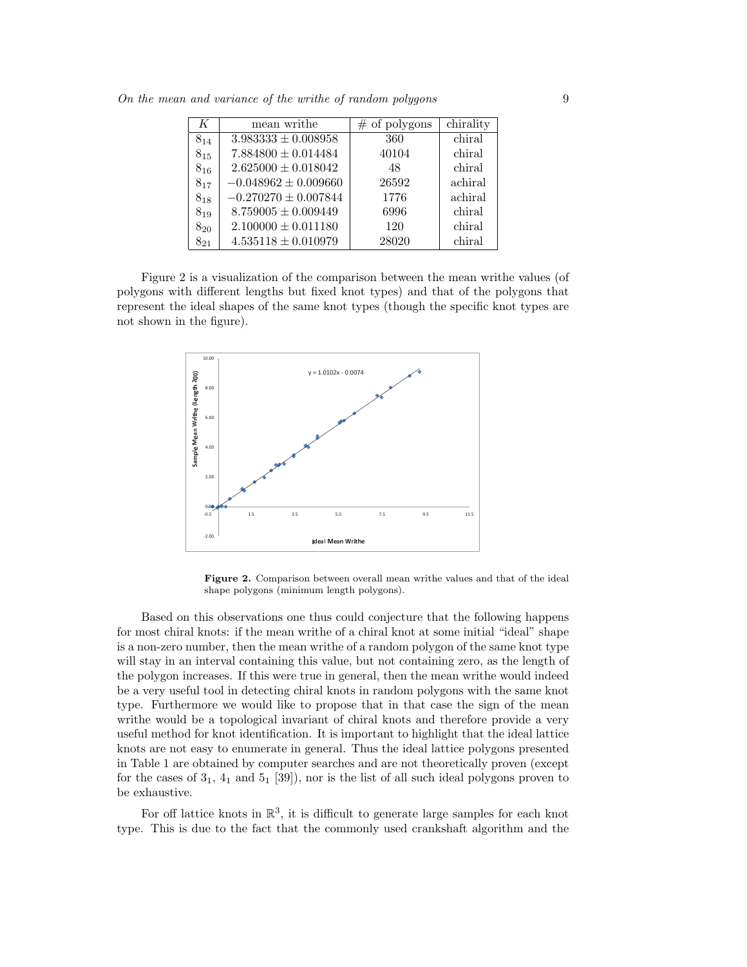| K        | mean writhe              | $\#$ of polygons | chirality |
|----------|--------------------------|------------------|-----------|
| $8_{14}$ | $3.983333 \pm 0.008958$  | 360              | chiral    |
| $8_{15}$ | $7.884800 \pm 0.014484$  | 40104            | chiral    |
| $8_{16}$ | $2.625000 \pm 0.018042$  | 48               | chiral    |
| $8_{17}$ | $-0.048962 \pm 0.009660$ | 26592            | achiral   |
| $8_{18}$ | $-0.270270 \pm 0.007844$ | 1776             | achiral   |
| $8_{19}$ | $8.759005 \pm 0.009449$  | 6996             | chiral    |
| $8_{20}$ | $2.100000 \pm 0.011180$  | 120              | chiral    |
| $8_{21}$ | $4.535118 \pm 0.010979$  | 28020            | chiral    |

On the mean and variance of the writhe of random polygons 9

Figure 2 is a visualization of the comparison between the mean writhe values (of polygons with different lengths but fixed knot types) and that of the polygons that represent the ideal shapes of the same knot types (though the specific knot types are not shown in the figure).



Figure 2. Comparison between overall mean writhe values and that of the ideal shape polygons (minimum length polygons).

Based on this observations one thus could conjecture that the following happens for most chiral knots: if the mean writhe of a chiral knot at some initial "ideal" shape is a non-zero number, then the mean writhe of a random polygon of the same knot type will stay in an interval containing this value, but not containing zero, as the length of the polygon increases. If this were true in general, then the mean writhe would indeed be a very useful tool in detecting chiral knots in random polygons with the same knot type. Furthermore we would like to propose that in that case the sign of the mean writhe would be a topological invariant of chiral knots and therefore provide a very useful method for knot identification. It is important to highlight that the ideal lattice knots are not easy to enumerate in general. Thus the ideal lattice polygons presented in Table 1 are obtained by computer searches and are not theoretically proven (except for the cases of  $3<sub>1</sub>$ ,  $4<sub>1</sub>$  and  $5<sub>1</sub>$  [39]), nor is the list of all such ideal polygons proven to be exhaustive.

For off lattice knots in  $\mathbb{R}^3$ , it is difficult to generate large samples for each knot type. This is due to the fact that the commonly used crankshaft algorithm and the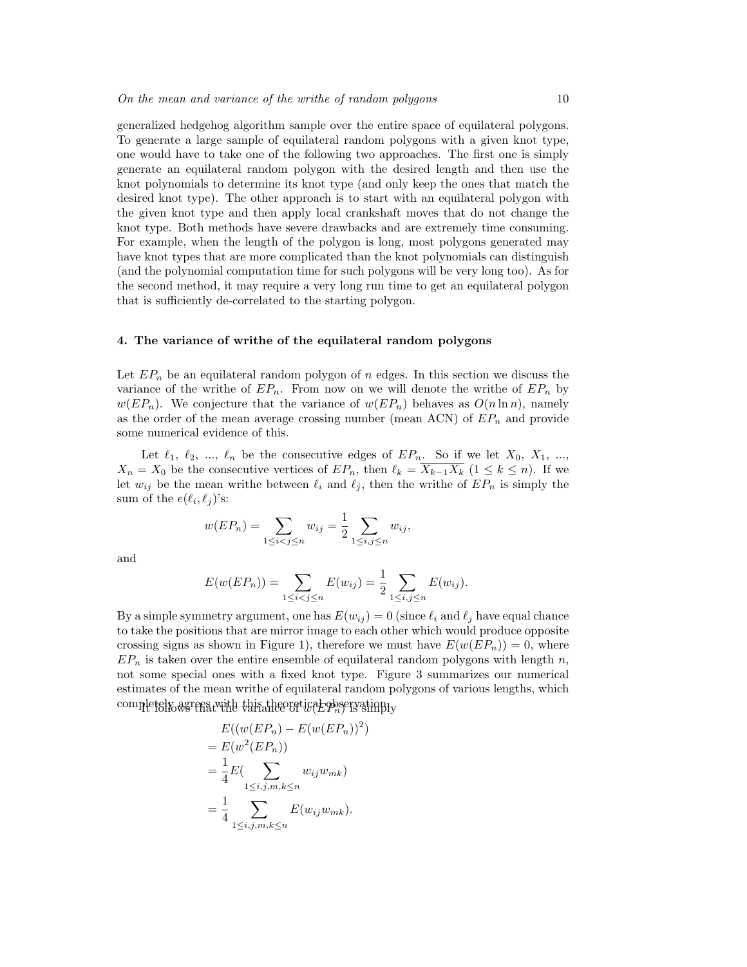generalized hedgehog algorithm sample over the entire space of equilateral polygons. To generate a large sample of equilateral random polygons with a given knot type, one would have to take one of the following two approaches. The first one is simply generate an equilateral random polygon with the desired length and then use the knot polynomials to determine its knot type (and only keep the ones that match the desired knot type). The other approach is to start with an equilateral polygon with the given knot type and then apply local crankshaft moves that do not change the knot type. Both methods have severe drawbacks and are extremely time consuming. For example, when the length of the polygon is long, most polygons generated may have knot types that are more complicated than the knot polynomials can distinguish (and the polynomial computation time for such polygons will be very long too). As for the second method, it may require a very long run time to get an equilateral polygon that is sufficiently de-correlated to the starting polygon.

#### 4. The variance of writhe of the equilateral random polygons

Let  $EP_n$  be an equilateral random polygon of n edges. In this section we discuss the variance of the writhe of  $EP_n$ . From now on we will denote the writhe of  $EP_n$  by  $w(EP_n)$ . We conjecture that the variance of  $w(EP_n)$  behaves as  $O(n \ln n)$ , namely as the order of the mean average crossing number (mean ACN) of  $EP_n$  and provide some numerical evidence of this.

Let  $\ell_1, \ell_2, ..., \ell_n$  be the consecutive edges of  $EP_n$ . So if we let  $X_0, X_1, ...,$  $X_n = X_0$  be the consecutive vertices of  $E P_n$ , then  $\ell_k = \overline{X_{k-1} X_k}$  ( $1 \le k \le n$ ). If we let  $w_{ij}$  be the mean writhe between  $\ell_i$  and  $\ell_j$ , then the writhe of  $EP_n$  is simply the sum of the  $e(\ell_i, \ell_j)$ 's:

$$
w(EP_n) = \sum_{1 \le i < j \le n} w_{ij} = \frac{1}{2} \sum_{1 \le i, j \le n} w_{ij},
$$

and

$$
E(w(EP_n)) = \sum_{1 \le i < j \le n} E(w_{ij}) = \frac{1}{2} \sum_{1 \le i, j \le n} E(w_{ij}).
$$

By a simple symmetry argument, one has  $E(w_{ij}) = 0$  (since  $\ell_i$  and  $\ell_j$  have equal chance to take the positions that are mirror image to each other which would produce opposite crossing signs as shown in Figure 1), therefore we must have  $E(w(EP_n)) = 0$ , where  $EP_n$  is taken over the entire ensemble of equilateral random polygons with length n. not some special ones with a fixed knot type. Figure 3 summarizes our numerical estimates of the mean writhe of equilateral random polygons of various lengths, which  $\text{complex}$  completely agrees with this theoretical observation.

$$
E((w(EP_n) - E(w(EP_n))^{2})
$$
  
=  $E(w^{2}(EP_n))$   
=  $\frac{1}{4}E(\sum_{1 \le i,j,m,k \le n} w_{ij}w_{mk})$   
=  $\frac{1}{4} \sum_{1 \le i,j,m,k \le n} E(w_{ij}w_{mk}).$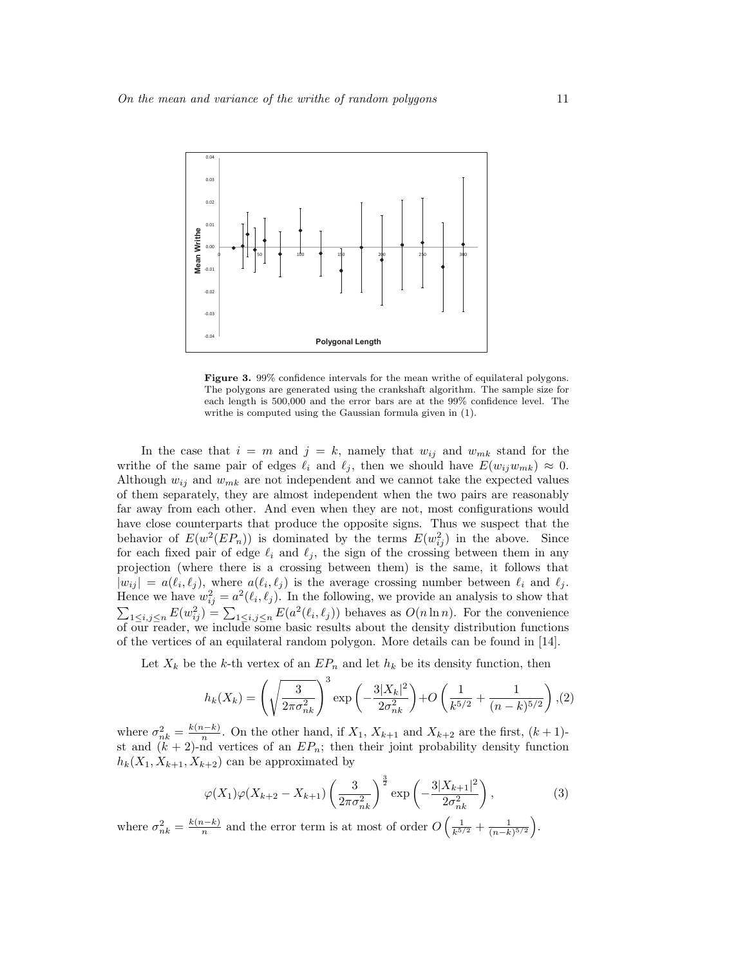

Figure 3. 99% confidence intervals for the mean writhe of equilateral polygons. The polygons are generated using the crankshaft algorithm. The sample size for each length is 500,000 and the error bars are at the 99% confidence level. The writhe is computed using the Gaussian formula given in (1).

In the case that  $i = m$  and  $j = k$ , namely that  $w_{ij}$  and  $w_{mk}$  stand for the writhe of the same pair of edges  $\ell_i$  and  $\ell_j$ , then we should have  $E(w_{ij}w_{mk}) \approx 0$ . Although  $w_{ij}$  and  $w_{mk}$  are not independent and we cannot take the expected values of them separately, they are almost independent when the two pairs are reasonably far away from each other. And even when they are not, most configurations would have close counterparts that produce the opposite signs. Thus we suspect that the behavior of  $E(w^2(EP_n))$  is dominated by the terms  $E(w_{ij}^2)$  in the above. Since for each fixed pair of edge  $\ell_i$  and  $\ell_j$ , the sign of the crossing between them in any projection (where there is a crossing between them) is the same, it follows that  $|w_{ij}| = a(\ell_i, \ell_j)$ , where  $a(\ell_i, \ell_j)$  is the average crossing number between  $\ell_i$  and  $\ell_j$ . Hence we have  $w_{ij}^2 = a^2(\ell_i, \ell_j)$ . In the following, we provide an analysis to show that  $\sum_{1 \leq i,j \leq n} E(w_{ij}^2) = \sum_{1 \leq i,j \leq n} E(a^2(\ell_i, \ell_j))$  behaves as  $O(n \ln n)$ . For the convenience of our reader, we include some basic results about the density distribution functions of the vertices of an equilateral random polygon. More details can be found in [14].

Let  $X_k$  be the k-th vertex of an  $EP_n$  and let  $h_k$  be its density function, then

$$
h_k(X_k) = \left(\sqrt{\frac{3}{2\pi\sigma_{nk}^2}}\right)^3 \exp\left(-\frac{3|X_k|^2}{2\sigma_{nk}^2}\right) + O\left(\frac{1}{k^{5/2}} + \frac{1}{(n-k)^{5/2}}\right), (2)
$$

where  $\sigma_{nk}^2 = \frac{k(n-k)}{n}$  $\frac{n-k}{n}$ . On the other hand, if  $X_1, X_{k+1}$  and  $X_{k+2}$  are the first,  $(k+1)$ st and  $(k + 2)$ -nd vertices of an  $EP_n$ ; then their joint probability density function  $h_k(X_1, X_{k+1}, X_{k+2})$  can be approximated by

$$
\varphi(X_1)\varphi(X_{k+2} - X_{k+1}) \left(\frac{3}{2\pi\sigma_{nk}^2}\right)^{\frac{3}{2}} \exp\left(-\frac{3|X_{k+1}|^2}{2\sigma_{nk}^2}\right),\tag{3}
$$

where  $\sigma_{nk}^2 = \frac{k(n-k)}{n}$  $\frac{n-k}{n}$  and the error term is at most of order O  $\left(\frac{1}{k^{5/2}}+\frac{1}{(n-k)^{5/2}}\right)$ .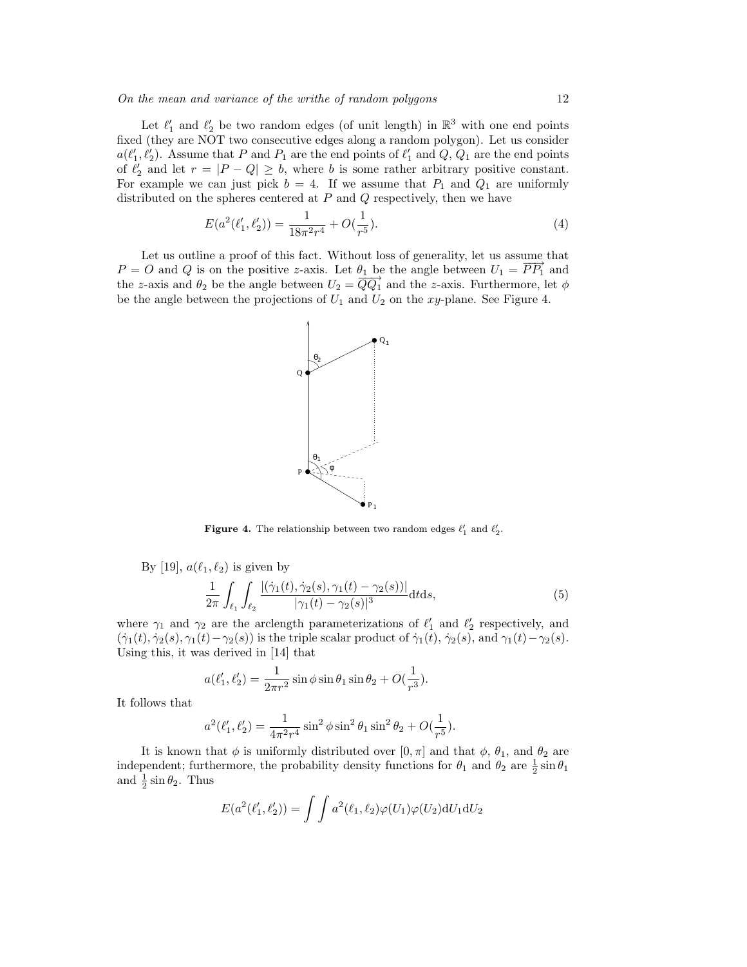Let  $\ell'_1$  and  $\ell'_2$  be two random edges (of unit length) in  $\mathbb{R}^3$  with one end points fixed (they are NOT two consecutive edges along a random polygon). Let us consider  $a(\ell'_1, \ell'_2)$ . Assume that P and P<sub>1</sub> are the end points of  $\ell'_1$  and Q, Q<sub>1</sub> are the end points of  $\ell'_2$  and let  $r = |P - Q| \geq b$ , where b is some rather arbitrary positive constant. For example we can just pick  $b = 4$ . If we assume that  $P_1$  and  $Q_1$  are uniformly distributed on the spheres centered at  $P$  and  $Q$  respectively, then we have

$$
E(a^2(\ell'_1, \ell'_2)) = \frac{1}{18\pi^2 r^4} + O(\frac{1}{r^5}).
$$
\n(4)

Let us outline a proof of this fact. Without loss of generality, let us assume that  $P = O$  and Q is on the positive z-axis. Let  $\theta_1$  be the angle between  $U_1 = \overline{PP_1}$  and  $t = 0$  and  $\ell_2$  is on the positive z axis. Let  $\ell_1 = \overline{QQ_1}$  and the z-axis. Furthermore, let  $\phi$  the z-axis and  $\theta_2$  be the angle between  $U_2 = \overline{QQ_1}$  and the z-axis. Furthermore, let  $\phi$ be the angle between the projections of  $U_1$  and  $U_2$  on the xy-plane. See Figure 4.



**Figure 4.** The relationship between two random edges  $\ell'_1$  and  $\ell'_2$ .

By [19], 
$$
a(\ell_1, \ell_2)
$$
 is given by  
\n
$$
\frac{1}{2\pi} \int_{\ell_1} \int_{\ell_2} \frac{|(\dot{\gamma}_1(t), \dot{\gamma}_2(s), \gamma_1(t) - \gamma_2(s))|}{|\gamma_1(t) - \gamma_2(s)|^3} dt ds,
$$
\n(5)

where  $\gamma_1$  and  $\gamma_2$  are the arclength parameterizations of  $\ell'_1$  and  $\ell'_2$  respectively, and  $(\dot{\gamma}_1(t), \dot{\gamma}_2(s), \gamma_1(t)-\gamma_2(s))$  is the triple scalar product of  $\dot{\gamma}_1(t), \dot{\gamma}_2(s)$ , and  $\gamma_1(t)-\gamma_2(s)$ . Using this, it was derived in [14] that

$$
a(\ell'_1, \ell'_2) = \frac{1}{2\pi r^2} \sin \phi \sin \theta_1 \sin \theta_2 + O(\frac{1}{r^3}).
$$

It follows that

$$
a^{2}(\ell'_{1}, \ell'_{2}) = \frac{1}{4\pi^{2}r^{4}}\sin^{2}\phi\sin^{2}\theta_{1}\sin^{2}\theta_{2} + O(\frac{1}{r^{5}}).
$$

It is known that  $\phi$  is uniformly distributed over  $[0, \pi]$  and that  $\phi$ ,  $\theta_1$ , and  $\theta_2$  are independent; furthermore, the probability density functions for  $\theta_1$  and  $\theta_2$  are  $\frac{1}{2} \sin \theta_1$ and  $\frac{1}{2} \sin \theta_2$ . Thus

$$
E(a^{2}(\ell'_{1},\ell'_{2})) = \int \int a^{2}(\ell_{1},\ell_{2}) \varphi(U_{1}) \varphi(U_{2}) dU_{1} dU_{2}
$$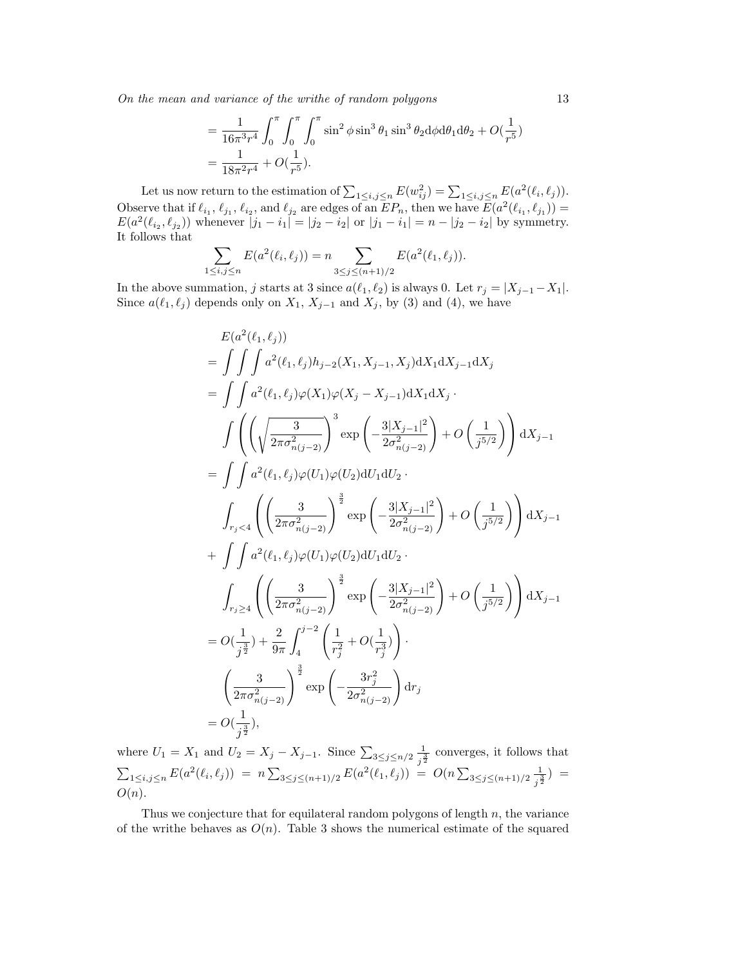On the mean and variance of the writhe of random polygons 13

$$
= \frac{1}{16\pi^3 r^4} \int_0^{\pi} \int_0^{\pi} \int_0^{\pi} \sin^2 \phi \sin^3 \theta_1 \sin^3 \theta_2 d\phi d\theta_1 d\theta_2 + O(\frac{1}{r^5})
$$
  
= 
$$
\frac{1}{18\pi^2 r^4} + O(\frac{1}{r^5}).
$$

Let us now return to the estimation of  $\sum_{1 \leq i,j \leq n} E(w_{ij}^2) = \sum_{1 \leq i,j \leq n} E(a^2(\ell_i, \ell_j)).$ Observe that if  $\ell_{i_1}, \ell_{j_1}, \ell_{i_2}$ , and  $\ell_{j_2}$  are edges of an  $EP_n$ , then we have  $E(a^2(\ell_{i_1}, \ell_{j_1})) =$  $E(a^2(\ell_{i_2}, \ell_{j_2}))$  whenever  $|j_1 - i_1| = |j_2 - i_2|$  or  $|j_1 - i_1| = n - |j_2 - i_2|$  by symmetry. It follows that  $\overline{a}$  $\overline{a}$ 

$$
\sum_{1 \le i,j \le n} E(a^2(\ell_i, \ell_j)) = n \sum_{3 \le j \le (n+1)/2} E(a^2(\ell_1, \ell_j)).
$$

In the above summation, j starts at 3 since  $a(\ell_1, \ell_2)$  is always 0. Let  $r_j = |X_{j-1}-X_1|$ . Since  $a(\ell_1, \ell_j)$  depends only on  $X_1, X_{j-1}$  and  $X_j$ , by (3) and (4), we have

$$
E(a^{2}(\ell_{1},\ell_{j}))
$$
\n
$$
= \int \int \int a^{2}(\ell_{1},\ell_{j})h_{j-2}(X_{1},X_{j-1},X_{j})dX_{1}dX_{j-1}dX_{j}
$$
\n
$$
= \int \int a^{2}(\ell_{1},\ell_{j})\varphi(X_{1})\varphi(X_{j}-X_{j-1})dX_{1}dX_{j}.
$$
\n
$$
\int \left( \left( \sqrt{\frac{3}{2\pi\sigma_{n(j-2)}^{2}} \right)^{3} \exp\left( -\frac{3|X_{j-1}|^{2}}{2\sigma_{n(j-2)}^{2}} \right) + O\left( \frac{1}{j^{5/2}} \right) \right) dX_{j-1}
$$
\n
$$
= \int \int a^{2}(\ell_{1},\ell_{j})\varphi(U_{1})\varphi(U_{2})dU_{1}dU_{2}.
$$
\n
$$
\int_{r_{j} < 4} \left( \left( \frac{3}{2\pi\sigma_{n(j-2)}^{2}} \right)^{\frac{3}{2}} \exp\left( -\frac{3|X_{j-1}|^{2}}{2\sigma_{n(j-2)}^{2}} \right) + O\left( \frac{1}{j^{5/2}} \right) \right) dX_{j-1}
$$
\n
$$
+ \int \int a^{2}(\ell_{1},\ell_{j})\varphi(U_{1})\varphi(U_{2})dU_{1}dU_{2}.
$$
\n
$$
\int_{r_{j} \geq 4} \left( \left( \frac{3}{2\pi\sigma_{n(j-2)}^{2}} \right)^{\frac{3}{2}} \exp\left( -\frac{3|X_{j-1}|^{2}}{2\sigma_{n(j-2)}^{2}} \right) + O\left( \frac{1}{j^{5/2}} \right) \right) dX_{j-1}
$$
\n
$$
= O(\frac{1}{j^{\frac{3}{2}}} + \frac{2}{9\pi} \int_{4}^{j^{-2}} \left( \frac{1}{r_{j}^{2}} + O(\frac{1}{r_{j}^{3}}) \right).
$$
\n
$$
\left( \frac{3}{2\pi\sigma_{n(j-2)}^{2}} \right)^{\frac{3}{2}} \exp\left( -\frac{3r_{j}^{2}}{2\sigma_{n(j-2)}^{2}} \right) dr_{j}
$$
\n<math display="block</math>

where  $U_1 = X_1$  and  $U_2 = X_j - X_{j-1}$ . Since  $\sum_{3 \le j \le n/2} \frac{1}{z_j^3}$  $\frac{1}{j^{\frac{3}{2}}}$  converges, it follows that  $\sum_{1 \leq i,j \leq n} E(a^2(\ell_i, \ell_j)) = n \sum_{3 \leq j \leq (n+1)/2} E(a^2(\ell_1, \ell_j)) = O(n \sum$  $3\leq j\leq (n+1)/2$  $\frac{1}{j^{\frac{3}{2}}}$ ) =  $O(n)$ .

Thus we conjecture that for equilateral random polygons of length  $n$ , the variance of the writhe behaves as  $O(n)$ . Table 3 shows the numerical estimate of the squared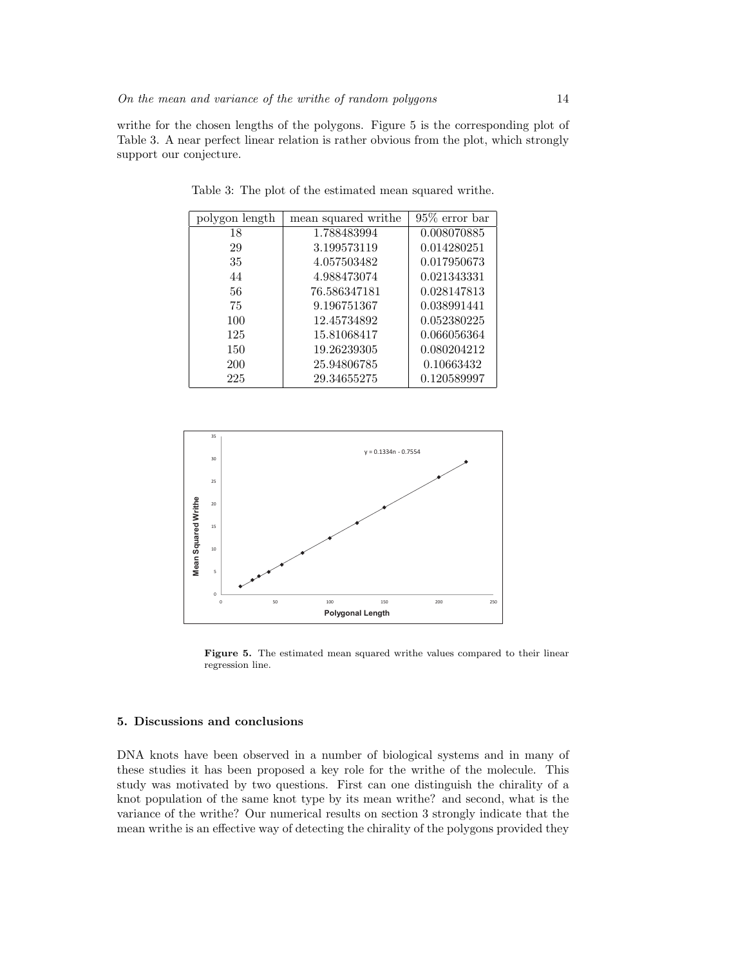writhe for the chosen lengths of the polygons. Figure 5 is the corresponding plot of Table 3. A near perfect linear relation is rather obvious from the plot, which strongly support our conjecture.

| polygon length | mean squared writhe | $95\%$ error bar |
|----------------|---------------------|------------------|
| 18             | 1.788483994         | 0.008070885      |
| 29             | 3.199573119         | 0.014280251      |
| 35             | 4.057503482         | 0.017950673      |
| 44             | 4.988473074         | 0.021343331      |
| 56             | 76.586347181        | 0.028147813      |
| 75             | 9.196751367         | 0.038991441      |
| 100            | 12.45734892         | 0.052380225      |
| 125            | 15.81068417         | 0.066056364      |
| 150            | 19.26239305         | 0.080204212      |
| 200            | 25.94806785         | 0.10663432       |
| 225            | 29.34655275         | 0.120589997      |

Table 3: The plot of the estimated mean squared writhe.



Figure 5. The estimated mean squared writhe values compared to their linear regression line.

## 5. Discussions and conclusions

DNA knots have been observed in a number of biological systems and in many of these studies it has been proposed a key role for the writhe of the molecule. This study was motivated by two questions. First can one distinguish the chirality of a knot population of the same knot type by its mean writhe? and second, what is the variance of the writhe? Our numerical results on section 3 strongly indicate that the mean writhe is an effective way of detecting the chirality of the polygons provided they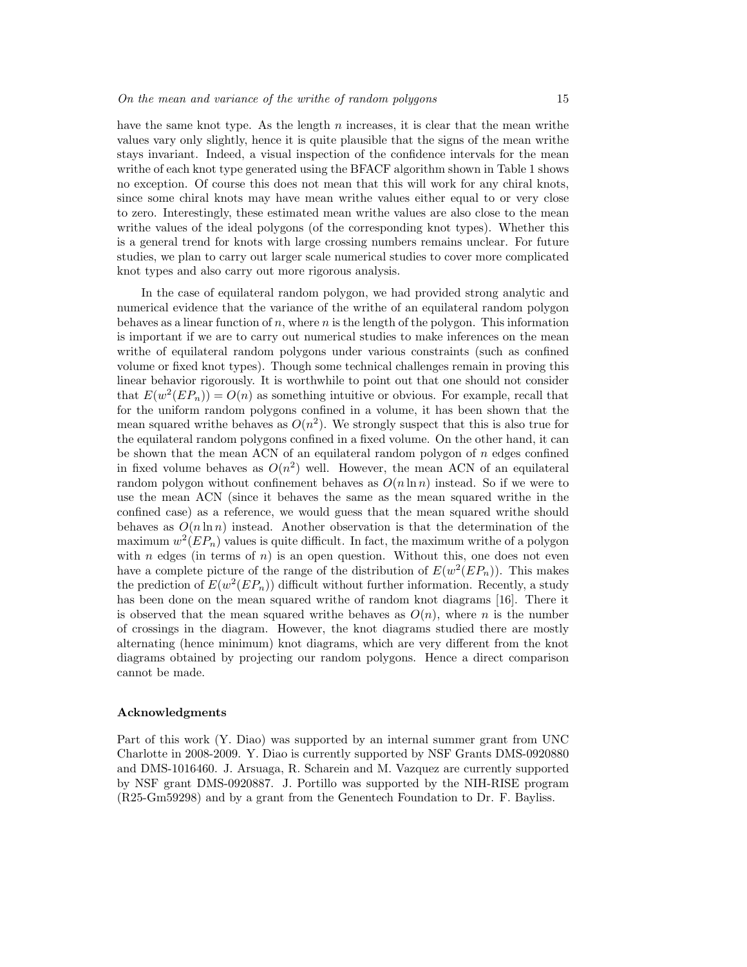have the same knot type. As the length  $n$  increases, it is clear that the mean writhe values vary only slightly, hence it is quite plausible that the signs of the mean writhe stays invariant. Indeed, a visual inspection of the confidence intervals for the mean writhe of each knot type generated using the BFACF algorithm shown in Table 1 shows no exception. Of course this does not mean that this will work for any chiral knots, since some chiral knots may have mean writhe values either equal to or very close to zero. Interestingly, these estimated mean writhe values are also close to the mean writhe values of the ideal polygons (of the corresponding knot types). Whether this is a general trend for knots with large crossing numbers remains unclear. For future studies, we plan to carry out larger scale numerical studies to cover more complicated knot types and also carry out more rigorous analysis.

In the case of equilateral random polygon, we had provided strong analytic and numerical evidence that the variance of the writhe of an equilateral random polygon behaves as a linear function of n, where n is the length of the polygon. This information is important if we are to carry out numerical studies to make inferences on the mean writhe of equilateral random polygons under various constraints (such as confined volume or fixed knot types). Though some technical challenges remain in proving this linear behavior rigorously. It is worthwhile to point out that one should not consider that  $E(w^2(EP_n)) = O(n)$  as something intuitive or obvious. For example, recall that for the uniform random polygons confined in a volume, it has been shown that the mean squared writhe behaves as  $O(n^2)$ . We strongly suspect that this is also true for the equilateral random polygons confined in a fixed volume. On the other hand, it can be shown that the mean ACN of an equilateral random polygon of  $n$  edges confined in fixed volume behaves as  $O(n^2)$  well. However, the mean ACN of an equilateral random polygon without confinement behaves as  $O(n \ln n)$  instead. So if we were to use the mean ACN (since it behaves the same as the mean squared writhe in the confined case) as a reference, we would guess that the mean squared writhe should behaves as  $O(n \ln n)$  instead. Another observation is that the determination of the maximum  $w^2(EP_n)$  values is quite difficult. In fact, the maximum writhe of a polygon with n edges (in terms of  $n$ ) is an open question. Without this, one does not even have a complete picture of the range of the distribution of  $E(w^2(EP_n))$ . This makes the prediction of  $E(w^2(EP_n))$  difficult without further information. Recently, a study has been done on the mean squared writhe of random knot diagrams [16]. There it is observed that the mean squared writhe behaves as  $O(n)$ , where n is the number of crossings in the diagram. However, the knot diagrams studied there are mostly alternating (hence minimum) knot diagrams, which are very different from the knot diagrams obtained by projecting our random polygons. Hence a direct comparison cannot be made.

#### Acknowledgments

Part of this work (Y. Diao) was supported by an internal summer grant from UNC Charlotte in 2008-2009. Y. Diao is currently supported by NSF Grants DMS-0920880 and DMS-1016460. J. Arsuaga, R. Scharein and M. Vazquez are currently supported by NSF grant DMS-0920887. J. Portillo was supported by the NIH-RISE program (R25-Gm59298) and by a grant from the Genentech Foundation to Dr. F. Bayliss.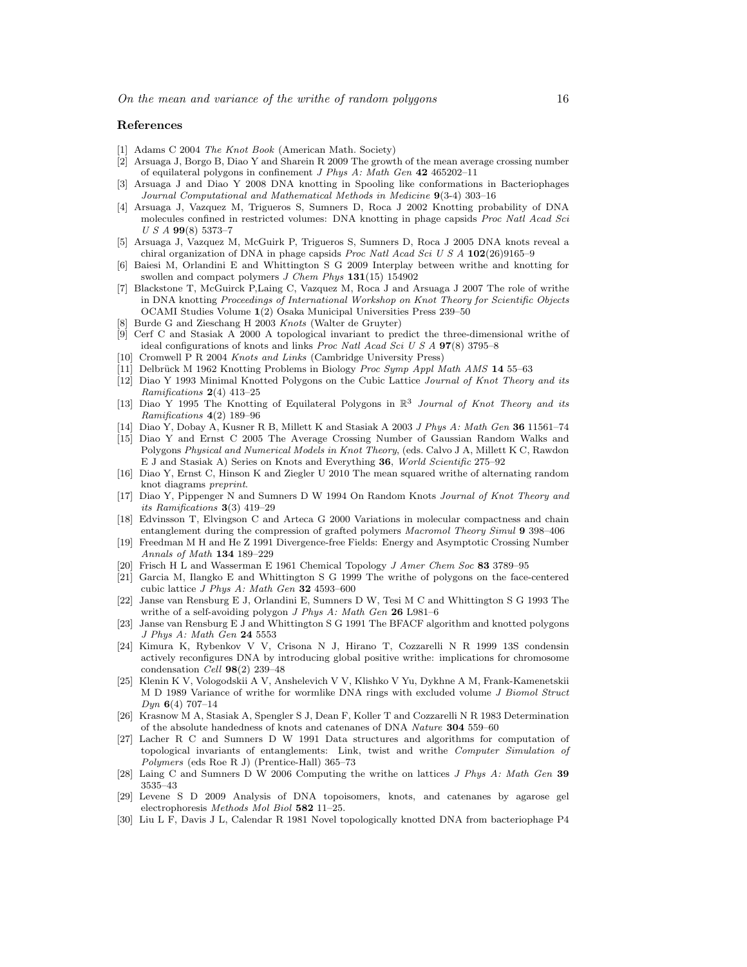#### References

- [1] Adams C 2004 The Knot Book (American Math. Society)
- [2] Arsuaga J, Borgo B, Diao Y and Sharein R 2009 The growth of the mean average crossing number of equilateral polygons in confinement J Phys A: Math Gen 42 465202–11
- [3] Arsuaga J and Diao Y 2008 DNA knotting in Spooling like conformations in Bacteriophages Journal Computational and Mathematical Methods in Medicine 9(3-4) 303–16
- [4] Arsuaga J, Vazquez M, Trigueros S, Sumners D, Roca J 2002 Knotting probability of DNA molecules confined in restricted volumes: DNA knotting in phage capsids Proc Natl Acad Sci  $U S A 99(8) 5373-7$
- [5] Arsuaga J, Vazquez M, McGuirk P, Trigueros S, Sumners D, Roca J 2005 DNA knots reveal a chiral organization of DNA in phage capsids Proc Natl Acad Sci U S A 102(26)9165–9
- [6] Baiesi M, Orlandini E and Whittington S G 2009 Interplay between writhe and knotting for swollen and compact polymers *J Chem Phys* 131(15) 154902
- [7] Blackstone T, McGuirck P,Laing C, Vazquez M, Roca J and Arsuaga J 2007 The role of writhe in DNA knotting Proceedings of International Workshop on Knot Theory for Scientific Objects OCAMI Studies Volume 1(2) Osaka Municipal Universities Press 239–50
- [8] Burde G and Zieschang H 2003 Knots (Walter de Gruyter)
- [9] Cerf C and Stasiak A 2000 A topological invariant to predict the three-dimensional writhe of ideal configurations of knots and links Proc Natl Acad Sci U S A 97(8) 3795–8
- [10] Cromwell P R 2004 Knots and Links (Cambridge University Press)
- [11] Delbrück M 1962 Knotting Problems in Biology Proc Symp Appl Math AMS 14 55–63 [12] Diao Y 1993 Minimal Knotted Polygons on the Cubic Lattice Journal of Knot Theory and its
- Ramifications  $2(4)$  413-25
- [13] Diao Y 1995 The Knotting of Equilateral Polygons in  $\mathbb{R}^3$  Journal of Knot Theory and its Ramifications 4(2) 189–96
- [14] Diao Y, Dobay A, Kusner R B, Millett K and Stasiak A 2003 J Phys A: Math Gen 36 11561–74
- [15] Diao Y and Ernst C 2005 The Average Crossing Number of Gaussian Random Walks and Polygons Physical and Numerical Models in Knot Theory, (eds. Calvo J A, Millett K C, Rawdon E J and Stasiak A) Series on Knots and Everything 36, World Scientific 275–92
- [16] Diao Y, Ernst C, Hinson K and Ziegler U 2010 The mean squared writhe of alternating random knot diagrams preprint.
- [17] Diao Y, Pippenger N and Sumners D W 1994 On Random Knots Journal of Knot Theory and its Ramifications 3(3) 419–29
- [18] Edvinsson T, Elvingson C and Arteca G 2000 Variations in molecular compactness and chain entanglement during the compression of grafted polymers Macromol Theory Simul 9 398–406
- [19] Freedman M H and He Z 1991 Divergence-free Fields: Energy and Asymptotic Crossing Number Annals of Math 134 189–229
- [20] Frisch H L and Wasserman E 1961 Chemical Topology J Amer Chem Soc 83 3789–95
- [21] Garcia M, Ilangko E and Whittington S G 1999 The writhe of polygons on the face-centered cubic lattice J Phys A: Math Gen 32 4593–600
- [22] Janse van Rensburg E J, Orlandini E, Sumners D W, Tesi M C and Whittington S G 1993 The writhe of a self-avoiding polygon J Phys A: Math Gen 26 L981-6
- [23] Janse van Rensburg E J and Whittington S G 1991 The BFACF algorithm and knotted polygons J Phys A: Math Gen 24 5553
- [24] Kimura K, Rybenkov V V, Crisona N J, Hirano T, Cozzarelli N R 1999 13S condensin actively reconfigures DNA by introducing global positive writhe: implications for chromosome condensation Cell 98(2) 239–48
- [25] Klenin K V, Vologodskii A V, Anshelevich V V, Klishko V Yu, Dykhne A M, Frank-Kamenetskii M D 1989 Variance of writhe for wormlike DNA rings with excluded volume J Biomol Struct  $Dyn$  6(4) 707–14
- [26] Krasnow M A, Stasiak A, Spengler S J, Dean F, Koller T and Cozzarelli N R 1983 Determination of the absolute handedness of knots and catenanes of DNA Nature 304 559–60
- [27] Lacher R C and Sumners D W 1991 Data structures and algorithms for computation of topological invariants of entanglements: Link, twist and writhe Computer Simulation of Polymers (eds Roe R J) (Prentice-Hall) 365–73
- [28] Laing C and Sumners D W 2006 Computing the writhe on lattices J Phys A: Math Gen 39 3535–43
- [29] Levene S D 2009 Analysis of DNA topoisomers, knots, and catenanes by agarose gel electrophoresis Methods Mol Biol 582 11–25.
- [30] Liu L F, Davis J L, Calendar R 1981 Novel topologically knotted DNA from bacteriophage P4